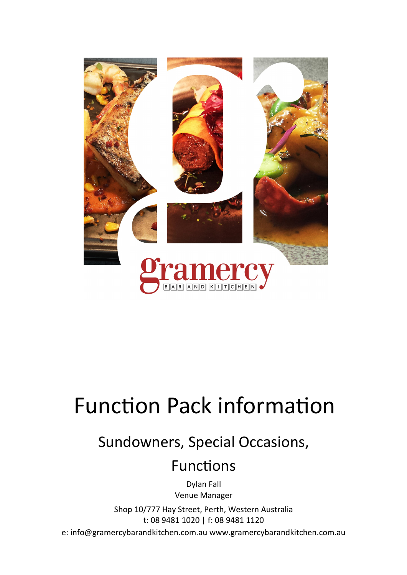

# Function Pack information

## Sundowners, Special Occasions,

### Functions

Dylan Fall Venue Manager

Shop 10/777 Hay Street, Perth, Western Australia t: 08 9481 1020 | f: 08 9481 1120

e: info@gramercybarandkitchen.com.au www.gramercybarandkitchen.com.au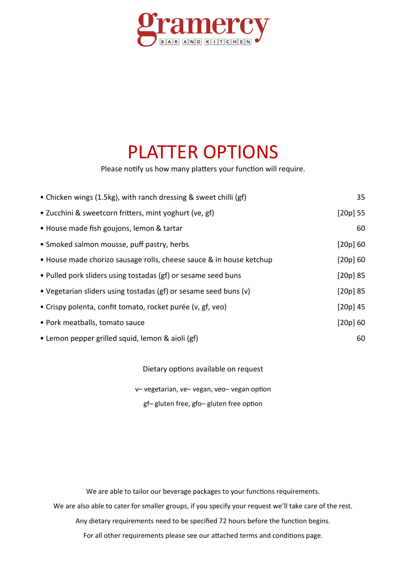

## PLATTER OPTIONS

Please notify us how many platters your function will require.

| • Chicken wings (1.5kg), with ranch dressing & sweet chilli (gf)    | 35         |
|---------------------------------------------------------------------|------------|
| • Zucchini & sweetcorn fritters, mint yoghurt (ve, gf)              | [20p] 55   |
| • House made fish goujons, lemon & tartar                           | 60         |
| • Smoked salmon mousse, puff pastry, herbs                          | $[20p]$ 60 |
| • House made chorizo sausage rolls, cheese sauce & in house ketchup | $[20p]$ 60 |
| • Pulled pork sliders using tostadas (gf) or sesame seed buns       | $[20p]$ 85 |
| • Vegetarian sliders using tostadas (gf) or sesame seed buns (v)    | $[20p]$ 85 |
| • Crispy polenta, confit tomato, rocket purée (v, gf, veo)          | $[20p]$ 45 |
| • Pork meatballs, tomato sauce                                      | [20p] 60   |
| • Lemon pepper grilled squid, lemon & aioli (gf)                    | 60         |

Dietary options available on request

v– vegetarian, ve– vegan, veo– vegan option

gf– gluten free, gfo– gluten free option

We are able to tailor our beverage packages to your functions requirements. We are also able to cater for smaller groups, if you specify your request we'll take care of the rest. Any dietary requirements need to be specified 72 hours before the function begins. For all other requirements please see our attached terms and conditions page.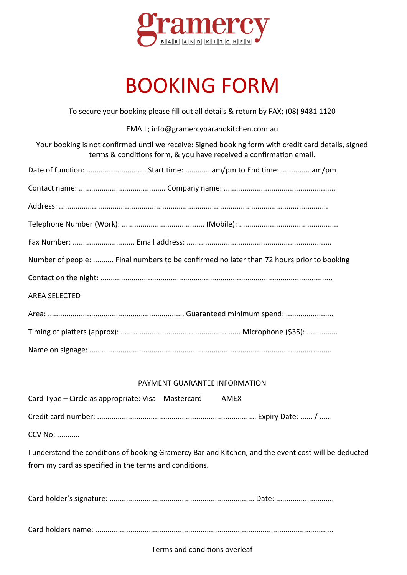

# BOOKING FORM

To secure your booking please fill out all details & return by FAX; (08) 9481 1120

EMAIL; info@gramercybarandkitchen.com.au

Your booking is not confirmed until we receive: Signed booking form with credit card details, signed terms & conditions form, & you have received a confirmation email.

| Date of function:  Start time:  am/pm to End time:  am/pm                                |
|------------------------------------------------------------------------------------------|
|                                                                                          |
|                                                                                          |
|                                                                                          |
|                                                                                          |
| Number of people:  Final numbers to be confirmed no later than 72 hours prior to booking |
|                                                                                          |
| <b>AREA SELECTED</b>                                                                     |
|                                                                                          |
|                                                                                          |
|                                                                                          |

#### PAYMENT GUARANTEE INFORMATION

| Card Type – Circle as appropriate: Visa Mastercard | AMEX |
|----------------------------------------------------|------|
|                                                    |      |
| .                                                  |      |

CCV No: ...........

I understand the conditions of booking Gramercy Bar and Kitchen, and the event cost will be deducted from my card as specified in the terms and conditions.

Card holder's signature: ...................................................................... Date: ............................

Card holders name: ...................................................................................................................

Terms and conditions overleaf